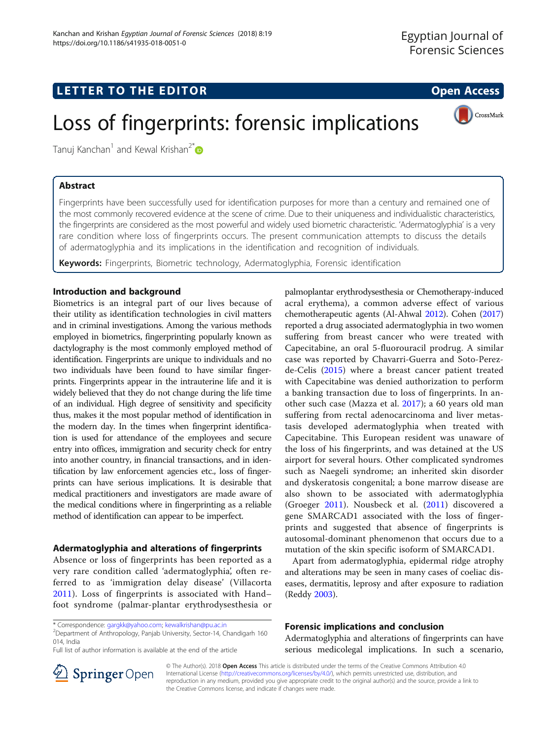# LETTER TO THE EDITOR **CONSIDERING THE EDITOR** CONSIDERING THE STATE AND THE STATE ASSAULT THE STATE AND THE STATE ASSAULT THE STATE AND THE STATE AND THE STATE AND THE STATE AND THE STATE AND THE STATE AND THE STATE AND TH

CrossMark



Tanuj Kanchan<sup>1</sup> and Kewal Krishan<sup>2[\\*](http://orcid.org/0000-0001-5321-0958)</sup>

# Abstract

Fingerprints have been successfully used for identification purposes for more than a century and remained one of the most commonly recovered evidence at the scene of crime. Due to their uniqueness and individualistic characteristics, the fingerprints are considered as the most powerful and widely used biometric characteristic. 'Adermatoglyphia' is a very rare condition where loss of fingerprints occurs. The present communication attempts to discuss the details of adermatoglyphia and its implications in the identification and recognition of individuals.

Keywords: Fingerprints, Biometric technology, Adermatoglyphia, Forensic identification

# Introduction and background

Biometrics is an integral part of our lives because of their utility as identification technologies in civil matters and in criminal investigations. Among the various methods employed in biometrics, fingerprinting popularly known as dactylography is the most commonly employed method of identification. Fingerprints are unique to individuals and no two individuals have been found to have similar fingerprints. Fingerprints appear in the intrauterine life and it is widely believed that they do not change during the life time of an individual. High degree of sensitivity and specificity thus, makes it the most popular method of identification in the modern day. In the times when fingerprint identification is used for attendance of the employees and secure entry into offices, immigration and security check for entry into another country, in financial transactions, and in identification by law enforcement agencies etc., loss of fingerprints can have serious implications. It is desirable that medical practitioners and investigators are made aware of the medical conditions where in fingerprinting as a reliable method of identification can appear to be imperfect.

### Adermatoglyphia and alterations of fingerprints

Absence or loss of fingerprints has been reported as a very rare condition called 'adermatoglyphia', often referred to as 'immigration delay disease' (Villacorta [2011](#page-1-0)). Loss of fingerprints is associated with Hand– foot syndrome (palmar-plantar erythrodysesthesia or

\* Correspondence: [gargkk@yahoo.com](mailto:gargkk@yahoo.com); [kewalkrishan@pu.ac.in](mailto:kewalkrishan@pu.ac.in) <sup>2</sup>

<sup>2</sup>Department of Anthropology, Panjab University, Sector-14, Chandigarh 160 014, India

Full list of author information is available at the end of the article

palmoplantar erythrodysesthesia or Chemotherapy-induced acral erythema), a common adverse effect of various chemotherapeutic agents (Al-Ahwal [2012](#page-1-0)). Cohen [\(2017](#page-1-0)) reported a drug associated adermatoglyphia in two women suffering from breast cancer who were treated with Capecitabine, an oral 5-fluorouracil prodrug. A similar case was reported by Chavarri-Guerra and Soto-Perezde-Celis ([2015\)](#page-1-0) where a breast cancer patient treated with Capecitabine was denied authorization to perform a banking transaction due to loss of fingerprints. In another such case (Mazza et al. [2017](#page-1-0)); a 60 years old man suffering from rectal adenocarcinoma and liver metastasis developed adermatoglyphia when treated with Capecitabine. This European resident was unaware of the loss of his fingerprints, and was detained at the US airport for several hours. Other complicated syndromes such as Naegeli syndrome; an inherited skin disorder and dyskeratosis congenital; a bone marrow disease are also shown to be associated with adermatoglyphia (Groeger [2011](#page-1-0)). Nousbeck et al. ([2011](#page-1-0)) discovered a gene SMARCAD1 associated with the loss of fingerprints and suggested that absence of fingerprints is autosomal-dominant phenomenon that occurs due to a mutation of the skin specific isoform of SMARCAD1.

Apart from adermatoglyphia, epidermal ridge atrophy and alterations may be seen in many cases of coeliac diseases, dermatitis, leprosy and after exposure to radiation (Reddy [2003\)](#page-1-0).

## Forensic implications and conclusion

Adermatoglyphia and alterations of fingerprints can have serious medicolegal implications. In such a scenario,



© The Author(s). 2018 Open Access This article is distributed under the terms of the Creative Commons Attribution 4.0 International License ([http://creativecommons.org/licenses/by/4.0/\)](http://creativecommons.org/licenses/by/4.0/), which permits unrestricted use, distribution, and reproduction in any medium, provided you give appropriate credit to the original author(s) and the source, provide a link to the Creative Commons license, and indicate if changes were made.